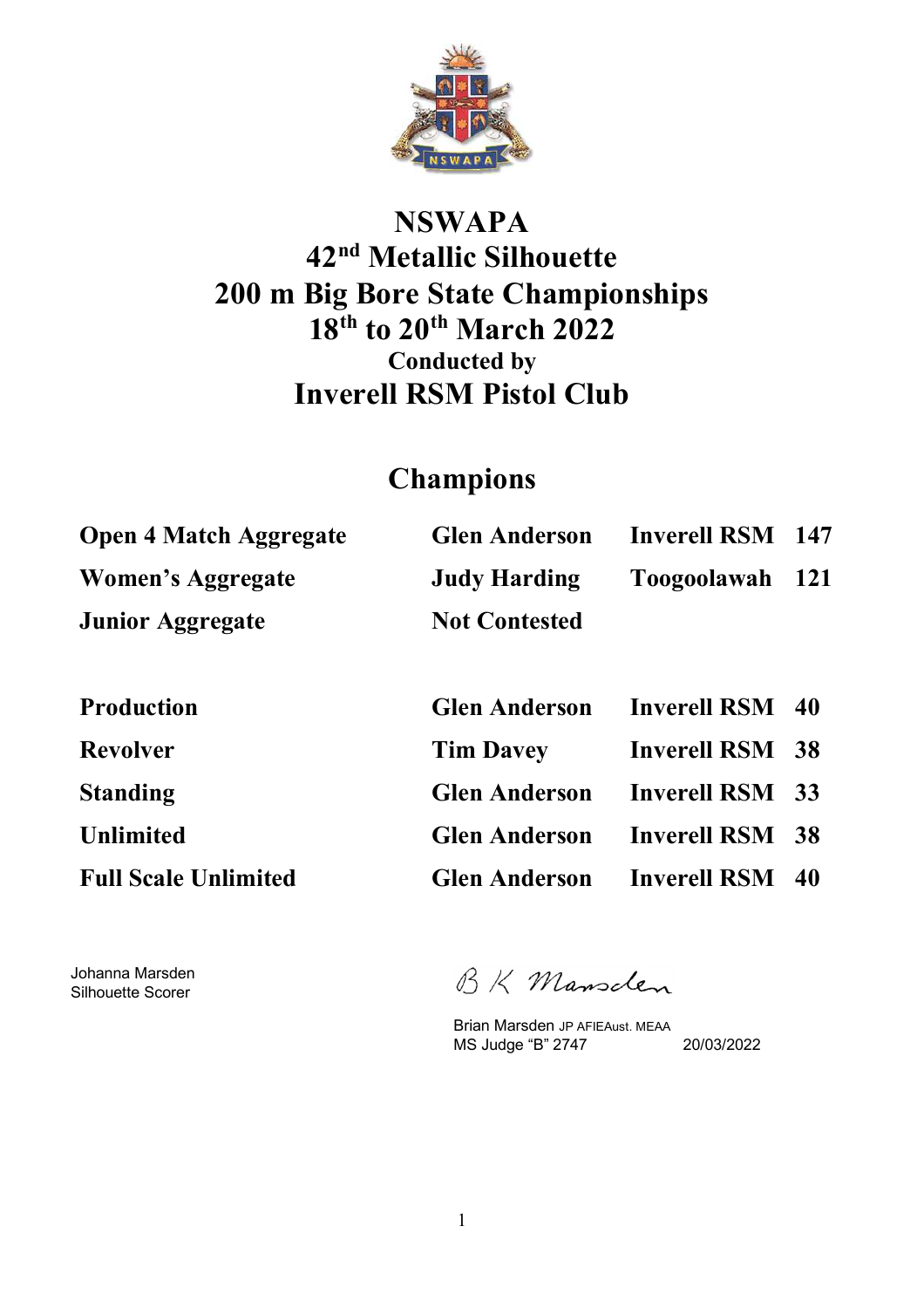

## **NSWAPA 42nd Metallic Silhouette 200 m Big Bore State Championships 18th to 20th March 2022 Conducted by Inverell RSM Pistol Club**

### **Champions**

| <b>Open 4 Match Aggregate</b> | <b>Glen Anderson</b> | <b>Inverell RSM</b> 147 |  |
|-------------------------------|----------------------|-------------------------|--|
| Women's Aggregate             | <b>Judy Harding</b>  | Toogoolawah 121         |  |
| <b>Junior Aggregate</b>       | <b>Not Contested</b> |                         |  |

| <b>Production</b>           | <b>Glen Anderson</b> Inverell RSM 40 |                        |  |
|-----------------------------|--------------------------------------|------------------------|--|
| <b>Revolver</b>             | <b>Tim Davey</b>                     | <b>Inverell RSM 38</b> |  |
| <b>Standing</b>             | <b>Glen Anderson</b> Inverell RSM 33 |                        |  |
| <b>Unlimited</b>            | <b>Glen Anderson</b> Inverell RSM 38 |                        |  |
| <b>Full Scale Unlimited</b> | <b>Glen Anderson</b> Inverell RSM 40 |                        |  |

Johanna Marsden Silhouette Scorer

BK Mansclen

Brian Marsden JP AFIEAust. MEAA MS Judge "B" 2747 20/03/2022

1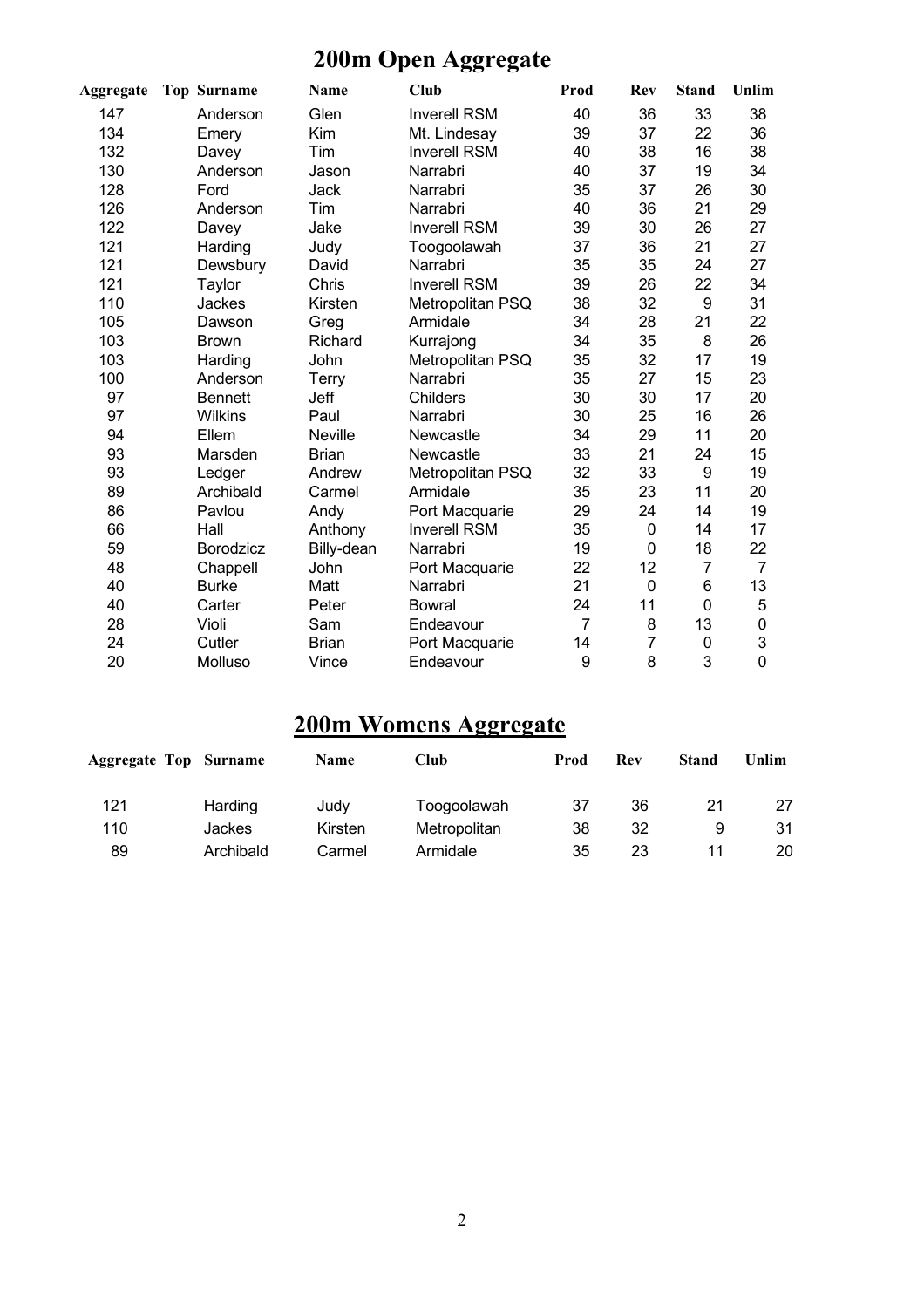# **200m Open Aggregate**

| Aggregate | <b>Top Surname</b> | Name           | Club                | Prod           | Rev            | <b>Stand</b> | Unlim          |
|-----------|--------------------|----------------|---------------------|----------------|----------------|--------------|----------------|
| 147       | Anderson           | Glen           | <b>Inverell RSM</b> | 40             | 36             | 33           | 38             |
| 134       | Emery              | Kim            | Mt. Lindesay        | 39             | 37             | 22           | 36             |
| 132       | Davey              | Tim            | <b>Inverell RSM</b> | 40             | 38             | 16           | 38             |
| 130       | Anderson           | Jason          | Narrabri            | 40             | 37             | 19           | 34             |
| 128       | Ford               | Jack           | Narrabri            | 35             | 37             | 26           | 30             |
| 126       | Anderson           | Tim            | Narrabri            | 40             | 36             | 21           | 29             |
| 122       | Davey              | Jake           | <b>Inverell RSM</b> | 39             | 30             | 26           | 27             |
| 121       | Harding            | Judy           | Toogoolawah         | 37             | 36             | 21           | 27             |
| 121       | Dewsbury           | David          | Narrabri            | 35             | 35             | 24           | 27             |
| 121       | Taylor             | Chris          | <b>Inverell RSM</b> | 39             | 26             | 22           | 34             |
| 110       | Jackes             | Kirsten        | Metropolitan PSQ    | 38             | 32             | 9            | 31             |
| 105       | Dawson             | Greg           | Armidale            | 34             | 28             | 21           | 22             |
| 103       | <b>Brown</b>       | Richard        | Kurrajong           | 34             | 35             | 8            | 26             |
| 103       | Harding            | John           | Metropolitan PSQ    | 35             | 32             | 17           | 19             |
| 100       | Anderson           | Terry          | Narrabri            | 35             | 27             | 15           | 23             |
| 97        | <b>Bennett</b>     | Jeff           | <b>Childers</b>     | 30             | 30             | 17           | 20             |
| 97        | <b>Wilkins</b>     | Paul           | Narrabri            | 30             | 25             | 16           | 26             |
| 94        | Ellem              | <b>Neville</b> | Newcastle           | 34             | 29             | 11           | 20             |
| 93        | Marsden            | <b>Brian</b>   | Newcastle           | 33             | 21             | 24           | 15             |
| 93        | Ledger             | Andrew         | Metropolitan PSQ    | 32             | 33             | 9            | 19             |
| 89        | Archibald          | Carmel         | Armidale            | 35             | 23             | 11           | 20             |
| 86        | Pavlou             | Andy           | Port Macquarie      | 29             | 24             | 14           | 19             |
| 66        | Hall               | Anthony        | <b>Inverell RSM</b> | 35             | 0              | 14           | 17             |
| 59        | <b>Borodzicz</b>   | Billy-dean     | Narrabri            | 19             | 0              | 18           | 22             |
| 48        | Chappell           | John           | Port Macquarie      | 22             | 12             | 7            | $\overline{7}$ |
| 40        | <b>Burke</b>       | Matt           | Narrabri            | 21             | 0              | 6            | 13             |
| 40        | Carter             | Peter          | <b>Bowral</b>       | 24             | 11             | 0            | 5              |
| 28        | Violi              | Sam            | Endeavour           | $\overline{7}$ | 8              | 13           | 0              |
| 24        | Cutler             | <b>Brian</b>   | Port Macquarie      | 14             | $\overline{7}$ | 0            | 3              |
| 20        | Molluso            | Vince          | Endeavour           | 9              | 8              | 3            | 0              |

## **200m Womens Aggregate**

| <b>Aggregate Top</b> | <b>Surname</b> | <b>Name</b> | Club         | Prod | Rev | <b>Stand</b> | Unlim |
|----------------------|----------------|-------------|--------------|------|-----|--------------|-------|
| 121                  | Harding        | Judy        | Toogoolawah  | 37   | 36  | 21           |       |
| 110                  | Jackes         | Kirsten     | Metropolitan | 38   | 32  | 9            | 31    |
| 89                   | Archibald      | Carmel      | Armidale     | 35   | 23  |              | 20    |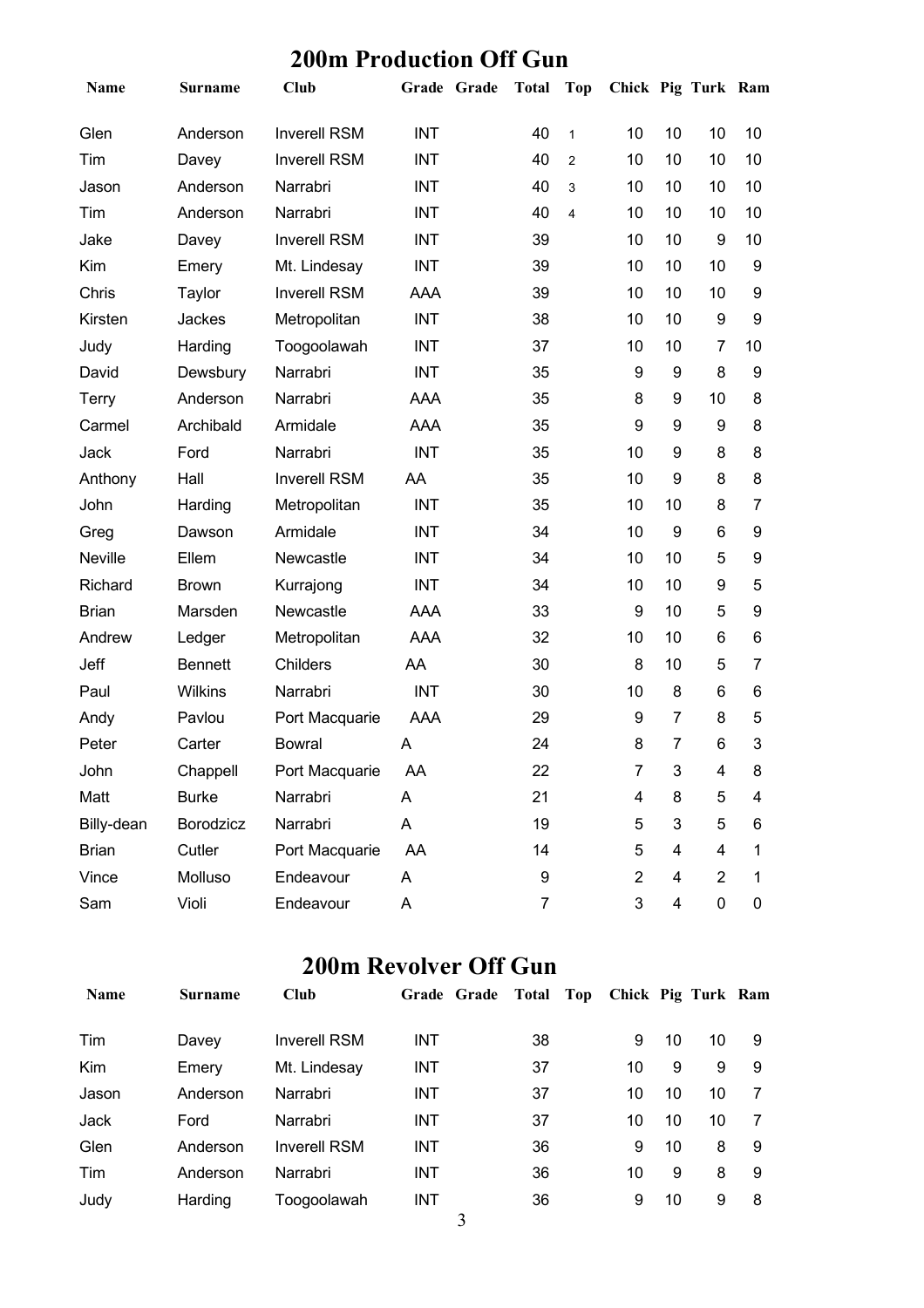#### **200m Production Off Gun**

| Name         | <b>Surname</b> | <b>Club</b>         | Grade Grade | <b>Total</b> | <b>Top</b>     | Chick Pig Turk Ram |                  |                |                |
|--------------|----------------|---------------------|-------------|--------------|----------------|--------------------|------------------|----------------|----------------|
| Glen         | Anderson       | <b>Inverell RSM</b> | <b>INT</b>  | 40           | $\mathbf{1}$   | 10                 | 10               | 10             | 10             |
| Tim          | Davey          | <b>Inverell RSM</b> | <b>INT</b>  | 40           | $\overline{c}$ | 10                 | 10               | 10             | 10             |
| Jason        | Anderson       | Narrabri            | <b>INT</b>  | 40           | 3              | 10                 | 10               | 10             | 10             |
| Tim          | Anderson       | Narrabri            | <b>INT</b>  | 40           | $\overline{4}$ | 10                 | 10               | 10             | 10             |
| Jake         | Davey          | <b>Inverell RSM</b> | <b>INT</b>  | 39           |                | 10                 | 10               | 9              | 10             |
| Kim          | Emery          | Mt. Lindesay        | <b>INT</b>  | 39           |                | 10                 | 10               | 10             | 9              |
| Chris        | Taylor         | <b>Inverell RSM</b> | AAA         | 39           |                | 10                 | 10               | 10             | 9              |
| Kirsten      | Jackes         | Metropolitan        | <b>INT</b>  | 38           |                | 10                 | 10               | 9              | 9              |
| Judy         | Harding        | Toogoolawah         | <b>INT</b>  | 37           |                | 10                 | 10               | $\overline{7}$ | 10             |
| David        | Dewsbury       | Narrabri            | <b>INT</b>  | 35           |                | 9                  | 9                | 8              | 9              |
| Terry        | Anderson       | Narrabri            | <b>AAA</b>  | 35           |                | 8                  | 9                | 10             | 8              |
| Carmel       | Archibald      | Armidale            | AAA         | 35           |                | 9                  | 9                | 9              | 8              |
| Jack         | Ford           | Narrabri            | <b>INT</b>  | 35           |                | 10                 | 9                | 8              | 8              |
| Anthony      | Hall           | <b>Inverell RSM</b> | AA          | 35           |                | 10                 | $\boldsymbol{9}$ | 8              | 8              |
| John         | Harding        | Metropolitan        | <b>INT</b>  | 35           |                | 10                 | 10               | 8              | $\overline{7}$ |
| Greg         | Dawson         | Armidale            | <b>INT</b>  | 34           |                | 10                 | 9                | 6              | 9              |
| Neville      | Ellem          | Newcastle           | <b>INT</b>  | 34           |                | 10                 | 10               | 5              | 9              |
| Richard      | <b>Brown</b>   | Kurrajong           | <b>INT</b>  | 34           |                | 10                 | 10               | 9              | 5              |
| <b>Brian</b> | Marsden        | Newcastle           | <b>AAA</b>  | 33           |                | 9                  | 10               | 5              | 9              |
| Andrew       | Ledger         | Metropolitan        | AAA         | 32           |                | 10                 | 10               | 6              | 6              |
| Jeff         | <b>Bennett</b> | Childers            | AA          | 30           |                | 8                  | 10               | 5              | $\overline{7}$ |
| Paul         | <b>Wilkins</b> | Narrabri            | <b>INT</b>  | 30           |                | 10                 | 8                | 6              | 6              |
| Andy         | Pavlou         | Port Macquarie      | AAA         | 29           |                | 9                  | $\overline{7}$   | 8              | 5              |
| Peter        | Carter         | <b>Bowral</b>       | Α           | 24           |                | 8                  | $\overline{7}$   | 6              | 3              |
| John         | Chappell       | Port Macquarie      | AA          | 22           |                | 7                  | 3                | 4              | 8              |
| Matt         | <b>Burke</b>   | Narrabri            | A           | 21           |                | 4                  | 8                | 5              | 4              |
| Billy-dean   | Borodzicz      | Narrabri            | A           | 19           |                | 5                  | $\mathbf{3}$     | 5              | 6              |
| <b>Brian</b> | Cutler         | Port Macquarie      | AA          | 14           |                | 5                  | 4                | 4              | 1              |
| Vince        | Molluso        | Endeavour           | Α           | 9            |                | $\mathbf{2}$       | 4                | $\overline{c}$ | 1              |
| Sam          | Violi          | Endeavour           | A           | 7            |                | 3                  | 4                | 0              | 0              |

#### **200m Revolver Off Gun**

| <b>Name</b> | <b>Surname</b> | <b>Club</b>         | Grade Grade Total |    | Top | Chick Pig Turk Ram |    |    |   |
|-------------|----------------|---------------------|-------------------|----|-----|--------------------|----|----|---|
| Tim         | Davey          | <b>Inverell RSM</b> | INT               | 38 |     | 9                  | 10 | 10 | 9 |
| <b>Kim</b>  | Emery          | Mt. Lindesay        | <b>INT</b>        | 37 |     | 10                 | 9  | 9  | 9 |
| Jason       | Anderson       | Narrabri            | <b>INT</b>        | 37 |     | 10                 | 10 | 10 |   |
| Jack        | Ford           | Narrabri            | <b>INT</b>        | 37 |     | 10                 | 10 | 10 |   |
| Glen        | Anderson       | <b>Inverell RSM</b> | <b>INT</b>        | 36 |     | 9                  | 10 | 8  | 9 |
| Tim         | Anderson       | Narrabri            | <b>INT</b>        | 36 |     | 10                 | 9  | 8  | 9 |
| Judy        | Harding        | Toogoolawah         | INT               | 36 |     | 9                  | 10 | 9  | 8 |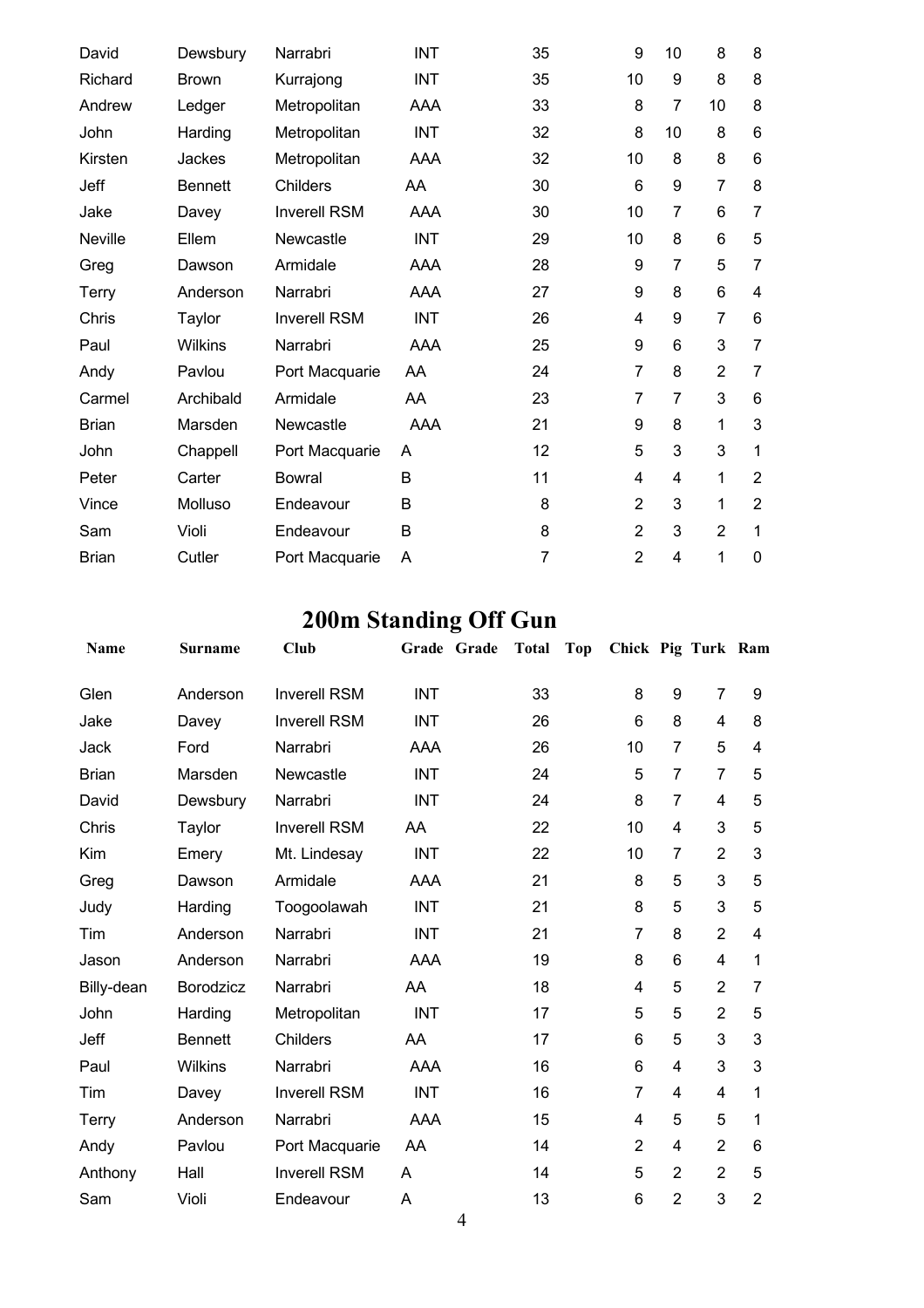| David          | Dewsbury       | Narrabri            | <b>INT</b> | 35 | 9              | 10             | 8              | 8              |
|----------------|----------------|---------------------|------------|----|----------------|----------------|----------------|----------------|
| Richard        | <b>Brown</b>   | Kurrajong           | <b>INT</b> | 35 | 10             | 9              | 8              | 8              |
| Andrew         | Ledger         | Metropolitan        | AAA        | 33 | 8              | 7              | 10             | 8              |
| John           | Harding        | Metropolitan        | <b>INT</b> | 32 | 8              | 10             | 8              | 6              |
| Kirsten        | Jackes         | Metropolitan        | AAA        | 32 | 10             | 8              | 8              | 6              |
| Jeff           | <b>Bennett</b> | <b>Childers</b>     | AA         | 30 | 6              | 9              | $\overline{7}$ | 8              |
| Jake           | Davey          | <b>Inverell RSM</b> | AAA        | 30 | 10             | 7              | 6              | 7              |
| <b>Neville</b> | Ellem          | Newcastle           | <b>INT</b> | 29 | 10             | 8              | 6              | 5              |
| Greg           | Dawson         | Armidale            | <b>AAA</b> | 28 | 9              | 7              | 5              | $\overline{7}$ |
| Terry          | Anderson       | Narrabri            | AAA        | 27 | 9              | 8              | 6              | 4              |
| Chris          | Taylor         | <b>Inverell RSM</b> | <b>INT</b> | 26 | 4              | 9              | $\overline{7}$ | 6              |
| Paul           | Wilkins        | Narrabri            | AAA        | 25 | 9              | 6              | 3              | 7              |
| Andy           | Pavlou         | Port Macquarie      | AA         | 24 | $\overline{7}$ | 8              | $\overline{2}$ | 7              |
| Carmel         | Archibald      | Armidale            | AA         | 23 | $\overline{7}$ | $\overline{7}$ | 3              | 6              |
| <b>Brian</b>   | Marsden        | Newcastle           | AAA        | 21 | 9              | 8              | 1              | 3              |
| John           | Chappell       | Port Macquarie      | A          | 12 | 5              | 3              | 3              | 1              |
| Peter          | Carter         | <b>Bowral</b>       | B          | 11 | 4              | 4              | 1              | $\overline{2}$ |
| Vince          | Molluso        | Endeavour           | B          | 8  | $\overline{2}$ | 3              | 1              | $\overline{2}$ |
| Sam            | Violi          | Endeavour           | B          | 8  | $\overline{2}$ | 3              | $\overline{2}$ | 1              |
| <b>Brian</b>   | Cutler         | Port Macquarie      | Α          | 7  | $\overline{2}$ | $\overline{4}$ | 1              | 0              |

# **200m Standing Off Gun**

| <b>Name</b>  | <b>Surname</b>   | Club                | Grade Grade | <b>Total</b> | <b>Top</b> | Chick Pig Turk Ram |                 |                |                |
|--------------|------------------|---------------------|-------------|--------------|------------|--------------------|-----------------|----------------|----------------|
| Glen         | Anderson         | <b>Inverell RSM</b> | <b>INT</b>  | 33           |            | 8                  | 9               | $\overline{7}$ | 9              |
| Jake         | Davey            | <b>Inverell RSM</b> | <b>INT</b>  | 26           |            | 6                  | 8               | $\overline{4}$ | 8              |
| Jack         | Ford             | Narrabri            | AAA         | 26           |            | 10                 | $\overline{7}$  | 5              | 4              |
| <b>Brian</b> | Marsden          | Newcastle           | <b>INT</b>  | 24           |            | 5                  | $\overline{7}$  | $\overline{7}$ | 5              |
| David        | Dewsbury         | Narrabri            | <b>INT</b>  | 24           |            | 8                  | $\overline{7}$  | 4              | 5              |
| Chris        | Taylor           | <b>Inverell RSM</b> | AA          | 22           |            | 10                 | 4               | 3              | 5              |
| Kim          | Emery            | Mt. Lindesay        | <b>INT</b>  | 22           |            | 10                 | 7               | $\overline{2}$ | 3              |
| Greg         | Dawson           | Armidale            | <b>AAA</b>  | 21           |            | 8                  | 5               | 3              | 5              |
| Judy         | Harding          | Toogoolawah         | <b>INT</b>  | 21           |            | 8                  | 5               | 3              | 5              |
| Tim          | Anderson         | Narrabri            | <b>INT</b>  | 21           |            | 7                  | 8               | $\overline{2}$ | 4              |
| Jason        | Anderson         | Narrabri            | AAA         | 19           |            | 8                  | $6\phantom{1}6$ | $\overline{4}$ | 1              |
| Billy-dean   | <b>Borodzicz</b> | Narrabri            | AA.         | 18           |            | 4                  | 5               | $\overline{2}$ | $\overline{7}$ |
| John         | Harding          | Metropolitan        | <b>INT</b>  | 17           |            | 5                  | 5               | $\overline{2}$ | 5              |
| Jeff         | <b>Bennett</b>   | <b>Childers</b>     | AA          | 17           |            | 6                  | 5               | 3              | 3              |
| Paul         | <b>Wilkins</b>   | Narrabri            | AAA         | 16           |            | $6\phantom{1}6$    | $\overline{4}$  | 3              | 3              |
| Tim          | Davey            | <b>Inverell RSM</b> | <b>INT</b>  | 16           |            | 7                  | $\overline{4}$  | $\overline{4}$ | 1              |
| <b>Terry</b> | Anderson         | Narrabri            | AAA         | 15           |            | 4                  | 5               | 5              | 1              |
| Andy         | Pavlou           | Port Macquarie      | AA          | 14           |            | $\overline{2}$     | $\overline{4}$  | $\overline{2}$ | $6\phantom{1}$ |
| Anthony      | Hall             | <b>Inverell RSM</b> | A           | 14           |            | 5                  | $\overline{2}$  | $\overline{2}$ | 5              |
| Sam          | Violi            | Endeavour           | Α           | 13           |            | $6\phantom{1}6$    | $\overline{2}$  | 3              | $\overline{2}$ |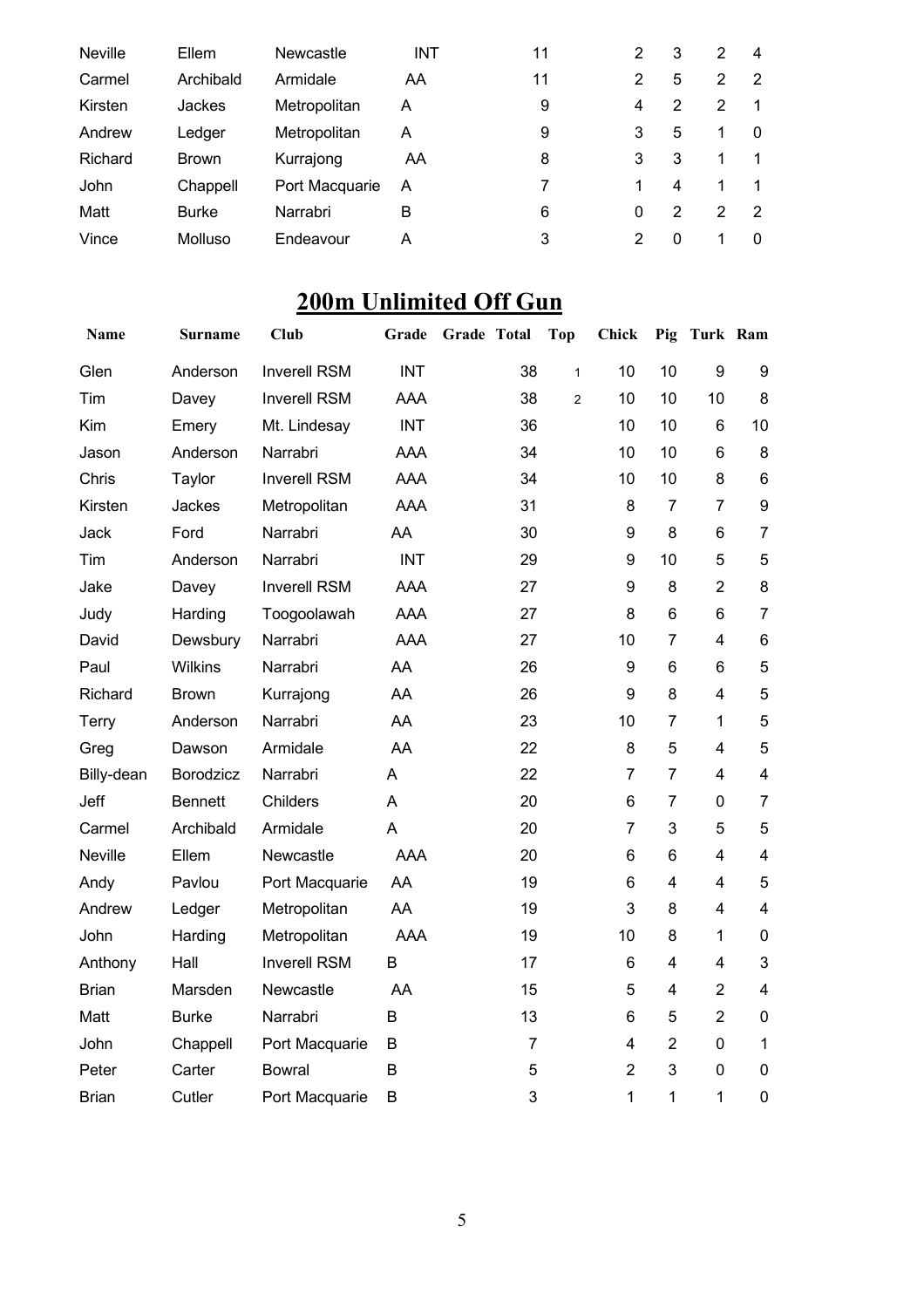| <b>Neville</b> | Ellem        | <b>Newcastle</b> | <b>INT</b> | 11 | 2 | 3 | 2 | 4        |
|----------------|--------------|------------------|------------|----|---|---|---|----------|
| Carmel         | Archibald    | Armidale         | AA         | 11 | 2 | 5 | 2 | 2        |
| Kirsten        | Jackes       | Metropolitan     | A          | 9  | 4 | 2 | 2 |          |
| Andrew         | Ledger       | Metropolitan     | A          | 9  | 3 | 5 | 1 | $\Omega$ |
| Richard        | <b>Brown</b> | Kurrajong        | AA         | 8  | 3 | 3 | 1 |          |
| John           | Chappell     | Port Macquarie   | A          | 7  |   | 4 | 1 |          |
| Matt           | <b>Burke</b> | Narrabri         | в          | 6  | 0 | 2 | 2 | 2        |
| Vince          | Molluso      | Endeavour        | А          | 3  | 2 | 0 |   | $\Omega$ |

## **200m Unlimited Off Gun**

| Name         | Surname          | <b>Club</b>         | Grade      | Grade Total    | <b>Top</b>     | <b>Chick</b>   | Pig                     | Turk Ram       |                         |
|--------------|------------------|---------------------|------------|----------------|----------------|----------------|-------------------------|----------------|-------------------------|
| Glen         | Anderson         | <b>Inverell RSM</b> | <b>INT</b> | 38             | $\mathbf{1}$   | 10             | 10                      | 9              | 9                       |
| Tim          | Davey            | <b>Inverell RSM</b> | <b>AAA</b> | 38             | $\overline{2}$ | 10             | 10                      | 10             | 8                       |
| Kim          | Emery            | Mt. Lindesay        | <b>INT</b> | 36             |                | 10             | 10                      | $6\phantom{1}$ | 10                      |
| Jason        | Anderson         | Narrabri            | <b>AAA</b> | 34             |                | 10             | 10                      | 6              | 8                       |
| Chris        | Taylor           | <b>Inverell RSM</b> | <b>AAA</b> | 34             |                | 10             | 10                      | 8              | $6\phantom{1}$          |
| Kirsten      | Jackes           | Metropolitan        | <b>AAA</b> | 31             |                | 8              | $\overline{7}$          | 7              | 9                       |
| Jack         | Ford             | Narrabri            | AA         | 30             |                | 9              | 8                       | 6              | $\overline{7}$          |
| Tim          | Anderson         | Narrabri            | <b>INT</b> | 29             |                | 9              | 10                      | 5              | 5                       |
| Jake         | Davey            | <b>Inverell RSM</b> | <b>AAA</b> | 27             |                | 9              | 8                       | $\overline{2}$ | $\,8\,$                 |
| Judy         | Harding          | Toogoolawah         | <b>AAA</b> | 27             |                | 8              | 6                       | 6              | $\overline{7}$          |
| David        | Dewsbury         | Narrabri            | <b>AAA</b> | 27             |                | 10             | $\overline{7}$          | 4              | $\,6$                   |
| Paul         | Wilkins          | Narrabri            | AA         | 26             |                | 9              | 6                       | 6              | 5                       |
| Richard      | <b>Brown</b>     | Kurrajong           | AA         | 26             |                | 9              | 8                       | 4              | 5                       |
| Terry        | Anderson         | Narrabri            | AA         | 23             |                | 10             | $\overline{7}$          | $\mathbf{1}$   | 5                       |
| Greg         | Dawson           | Armidale            | AA         | 22             |                | 8              | 5                       | 4              | 5                       |
| Billy-dean   | <b>Borodzicz</b> | Narrabri            | A          | 22             |                | $\overline{7}$ | $\overline{7}$          | $\overline{4}$ | $\overline{\mathbf{4}}$ |
| Jeff         | <b>Bennett</b>   | Childers            | A          | 20             |                | 6              | $\overline{7}$          | $\Omega$       | $\overline{7}$          |
| Carmel       | Archibald        | Armidale            | A          | 20             |                | $\overline{7}$ | 3                       | 5              | 5                       |
| Neville      | Ellem            | Newcastle           | AAA        | 20             |                | 6              | 6                       | 4              | $\overline{\mathbf{4}}$ |
| Andy         | Pavlou           | Port Macquarie      | AA         | 19             |                | 6              | $\overline{\mathbf{4}}$ | 4              | 5                       |
| Andrew       | Ledger           | Metropolitan        | AA         | 19             |                | 3              | 8                       | 4              | $\overline{\mathbf{4}}$ |
| John         | Harding          | Metropolitan        | <b>AAA</b> | 19             |                | 10             | 8                       | $\mathbf{1}$   | $\pmb{0}$               |
| Anthony      | Hall             | <b>Inverell RSM</b> | B          | 17             |                | 6              | $\overline{\mathbf{4}}$ | 4              | 3                       |
| <b>Brian</b> | Marsden          | Newcastle           | AA         | 15             |                | 5              | 4                       | $\overline{2}$ | $\overline{\mathbf{4}}$ |
| Matt         | <b>Burke</b>     | Narrabri            | B          | 13             |                | 6              | 5                       | $\overline{2}$ | $\mathbf 0$             |
| John         | Chappell         | Port Macquarie      | B          | $\overline{7}$ |                | $\overline{4}$ | $\overline{2}$          | $\mathbf 0$    | $\mathbf{1}$            |
| Peter        | Carter           | <b>Bowral</b>       | B          | 5              |                | $\overline{2}$ | 3                       | 0              | $\mathbf 0$             |
| <b>Brian</b> | Cutler           | Port Macquarie      | B          | 3              |                | 1              | 1                       | 1              | $\boldsymbol{0}$        |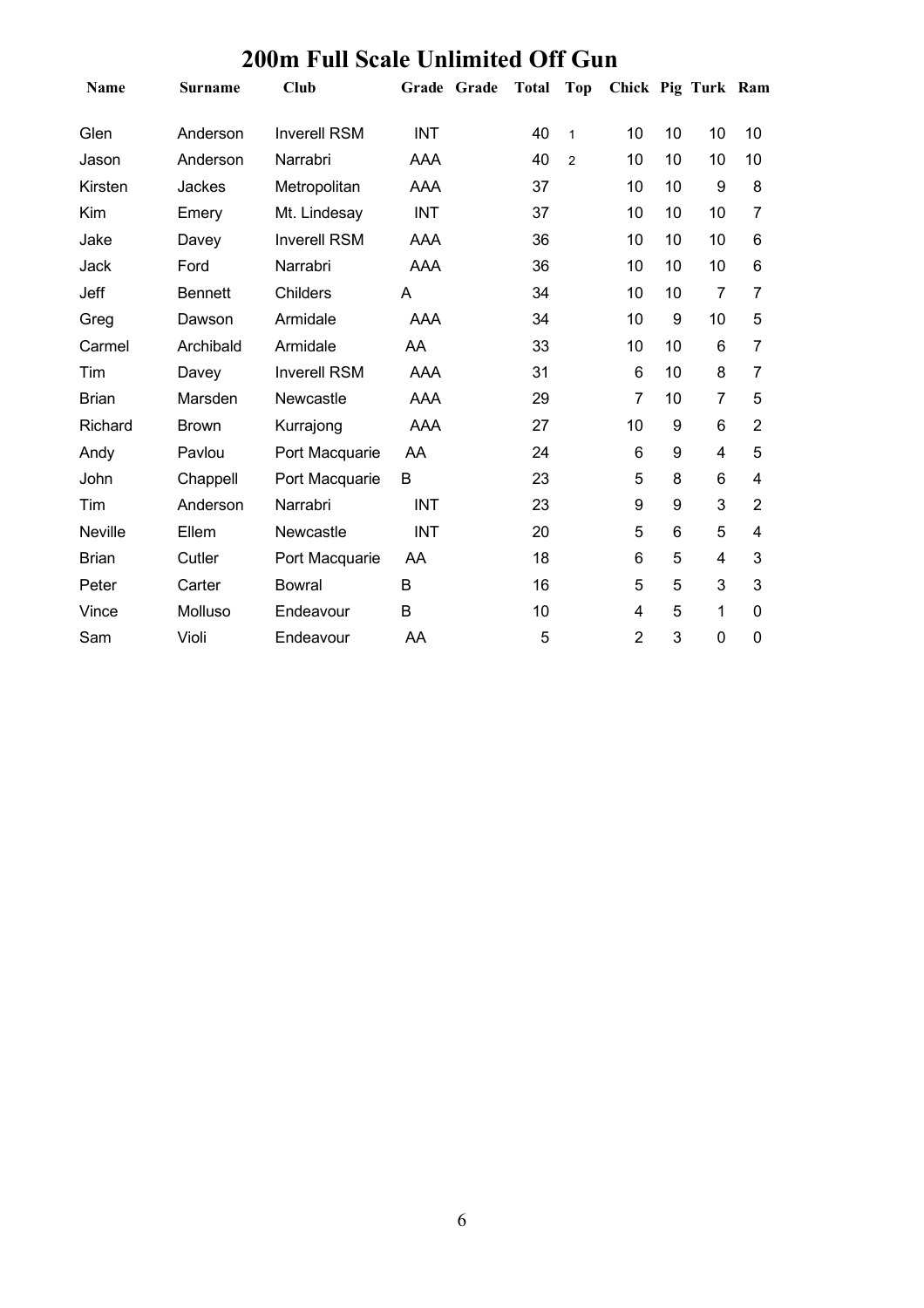| 200m Full Scale Unlimited Off Gun |                |                     |            |             |           |                |                    |    |                |                |
|-----------------------------------|----------------|---------------------|------------|-------------|-----------|----------------|--------------------|----|----------------|----------------|
| Name                              | <b>Surname</b> | <b>Club</b>         |            | Grade Grade | Total Top |                | Chick Pig Turk Ram |    |                |                |
| Glen                              | Anderson       | <b>Inverell RSM</b> | <b>INT</b> |             | 40        | $\mathbf{1}$   | 10                 | 10 | 10             | 10             |
| Jason                             | Anderson       | Narrabri            | AAA        |             | 40        | $\overline{2}$ | 10                 | 10 | 10             | 10             |
| Kirsten                           | Jackes         | Metropolitan        | AAA        |             | 37        |                | 10                 | 10 | 9              | 8              |
| Kim                               | Emery          | Mt. Lindesay        | <b>INT</b> |             | 37        |                | 10                 | 10 | 10             | 7              |
| Jake                              | Davey          | <b>Inverell RSM</b> | AAA        |             | 36        |                | 10                 | 10 | 10             | 6              |
| Jack                              | Ford           | Narrabri            | AAA        |             | 36        |                | 10                 | 10 | 10             | 6              |
| Jeff                              | <b>Bennett</b> | <b>Childers</b>     | A          |             | 34        |                | 10                 | 10 | 7              | 7              |
| Greg                              | Dawson         | Armidale            | AAA        |             | 34        |                | 10                 | 9  | 10             | 5              |
| Carmel                            | Archibald      | Armidale            | AA         |             | 33        |                | 10                 | 10 | 6              | $\overline{7}$ |
| Tim                               | Davey          | <b>Inverell RSM</b> | <b>AAA</b> |             | 31        |                | $6\phantom{1}6$    | 10 | 8              | 7              |
| <b>Brian</b>                      | Marsden        | Newcastle           | AAA        |             | 29        |                | $\overline{7}$     | 10 | $\overline{7}$ | 5              |
| Richard                           | <b>Brown</b>   | Kurrajong           | <b>AAA</b> |             | 27        |                | 10                 | 9  | 6              | $\overline{2}$ |
| Andy                              | Pavlou         | Port Macquarie      | AA         |             | 24        |                | 6                  | 9  | $\overline{4}$ | 5              |
| John                              | Chappell       | Port Macquarie      | B          |             | 23        |                | 5                  | 8  | 6              | 4              |
| Tim                               | Anderson       | Narrabri            | <b>INT</b> |             | 23        |                | $\boldsymbol{9}$   | 9  | 3              | $\overline{2}$ |
| Neville                           | Ellem          | Newcastle           | INT        |             | 20        |                | 5                  | 6  | 5              | 4              |
| <b>Brian</b>                      | Cutler         | Port Macquarie      | AA         |             | 18        |                | 6                  | 5  | 4              | 3              |
| Peter                             | Carter         | <b>Bowral</b>       | B          |             | 16        |                | 5                  | 5  | 3              | 3              |
| Vince                             | Molluso        | Endeavour           | B          |             | 10        |                | 4                  | 5  | 1              | $\mathbf 0$    |
| Sam                               | Violi          | Endeavour           | AA         |             | 5         |                | $\overline{2}$     | 3  | $\mathbf 0$    | $\mathbf 0$    |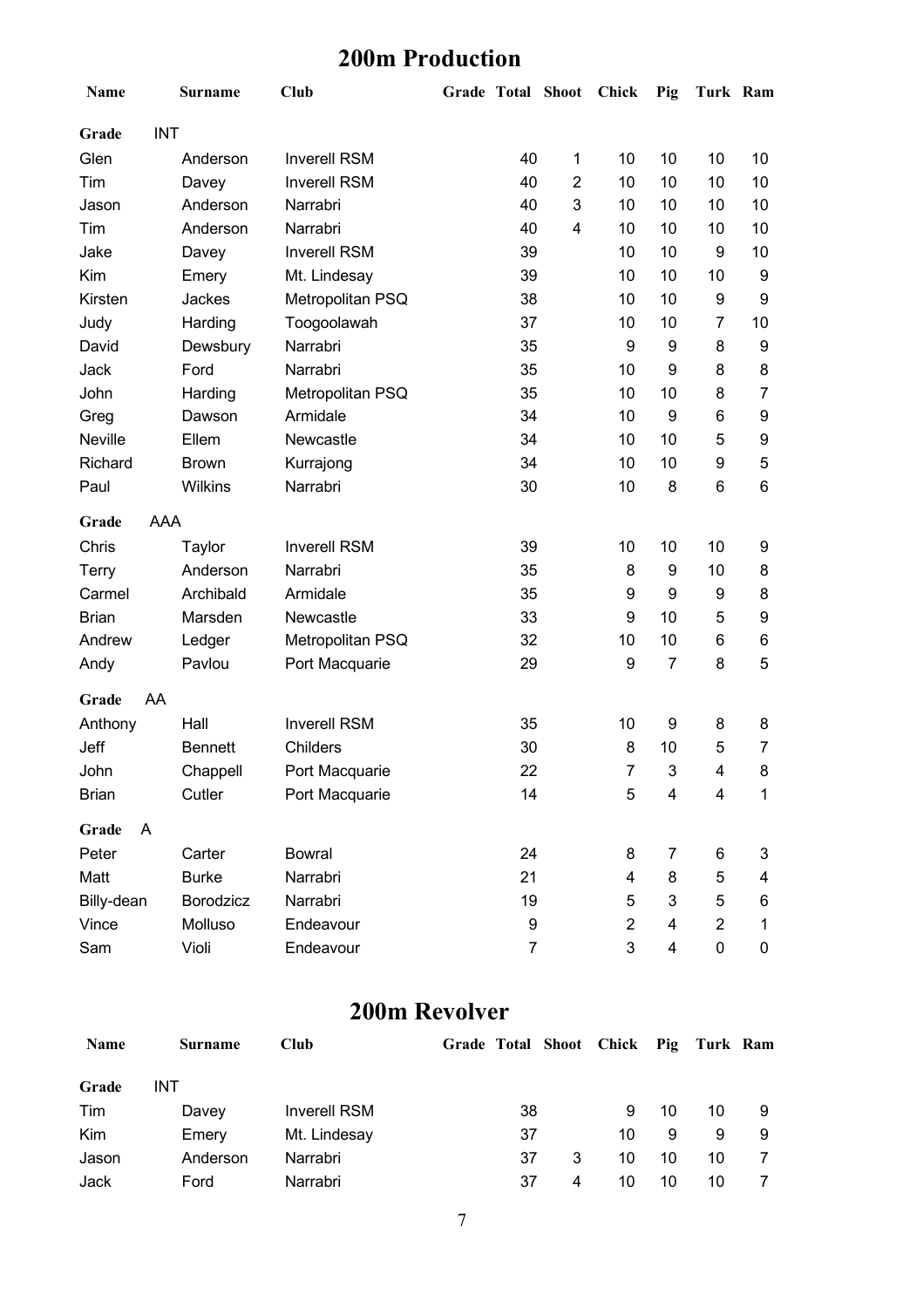#### **200m Production**

| Name                | <b>Surname</b> | Club                | <b>Grade Total Shoot</b> |                         | Chick          | Pig                     | Turk Ram       |    |
|---------------------|----------------|---------------------|--------------------------|-------------------------|----------------|-------------------------|----------------|----|
| <b>INT</b><br>Grade |                |                     |                          |                         |                |                         |                |    |
| Glen                | Anderson       | <b>Inverell RSM</b> | 40                       | 1                       | 10             | 10                      | 10             | 10 |
| Tim                 | Davey          | <b>Inverell RSM</b> | 40                       | $\overline{2}$          | 10             | 10                      | 10             | 10 |
| Jason               | Anderson       | Narrabri            | 40                       | 3                       | 10             | 10                      | 10             | 10 |
| Tim                 | Anderson       | Narrabri            | 40                       | $\overline{\mathbf{4}}$ | 10             | 10                      | 10             | 10 |
| Jake                | Davey          | <b>Inverell RSM</b> | 39                       |                         | 10             | 10                      | 9              | 10 |
| Kim                 | Emery          | Mt. Lindesay        | 39                       |                         | 10             | 10                      | 10             | 9  |
| Kirsten             | Jackes         | Metropolitan PSQ    | 38                       |                         | 10             | 10                      | 9              | 9  |
| Judy                | Harding        | Toogoolawah         | 37                       |                         | 10             | 10                      | 7              | 10 |
| David               | Dewsbury       | Narrabri            | 35                       |                         | 9              | 9                       | 8              | 9  |
| Jack                | Ford           | Narrabri            | 35                       |                         | 10             | 9                       | 8              | 8  |
| John                | Harding        | Metropolitan PSQ    | 35                       |                         | 10             | 10                      | 8              | 7  |
| Greg                | Dawson         | Armidale            | 34                       |                         | 10             | 9                       | 6              | 9  |
| <b>Neville</b>      | Ellem          | Newcastle           | 34                       |                         | 10             | 10                      | 5              | 9  |
| Richard             | <b>Brown</b>   | Kurrajong           | 34                       |                         | 10             | 10                      | 9              | 5  |
| Paul                | Wilkins        | Narrabri            | 30                       |                         | 10             | 8                       | 6              | 6  |
| AAA<br>Grade        |                |                     |                          |                         |                |                         |                |    |
| Chris               | Taylor         | <b>Inverell RSM</b> | 39                       |                         | 10             | 10                      | 10             | 9  |
| Terry               | Anderson       | Narrabri            | 35                       |                         | 8              | 9                       | 10             | 8  |
| Carmel              | Archibald      | Armidale            | 35                       |                         | 9              | 9                       | 9              | 8  |
| <b>Brian</b>        | Marsden        | Newcastle           | 33                       |                         | 9              | 10                      | 5              | 9  |
| Andrew              | Ledger         | Metropolitan PSQ    | 32                       |                         | 10             | 10                      | 6              | 6  |
| Andy                | Pavlou         | Port Macquarie      | 29                       |                         | 9              | $\overline{7}$          | 8              | 5  |
| Grade<br>AA         |                |                     |                          |                         |                |                         |                |    |
| Anthony             | Hall           | <b>Inverell RSM</b> | 35                       |                         | 10             | 9                       | 8              | 8  |
| Jeff                | <b>Bennett</b> | Childers            | 30                       |                         | 8              | 10                      | 5              | 7  |
| John                | Chappell       | Port Macquarie      | 22                       |                         | $\overline{7}$ | 3                       | $\overline{4}$ | 8  |
| <b>Brian</b>        | Cutler         | Port Macquarie      | 14                       |                         | 5              | 4                       | $\overline{4}$ | 1  |
| A<br>Grade          |                |                     |                          |                         |                |                         |                |    |
| Peter               | Carter         | <b>Bowral</b>       | 24                       |                         | 8              | 7                       | 6              | 3  |
| Matt                | <b>Burke</b>   | Narrabri            | 21                       |                         | 4              | 8                       | 5              | 4  |
| Billy-dean          | Borodzicz      | Narrabri            | 19                       |                         | 5              | 3                       | 5              | 6  |
| Vince               | Molluso        | Endeavour           | 9                        |                         | $\overline{2}$ | 4                       | $\overline{c}$ | 1  |
| Sam                 | Violi          | Endeavour           | 7                        |                         | 3              | $\overline{\mathbf{4}}$ | $\pmb{0}$      | 0  |

#### **200m Revolver**

| <b>Name</b> | <b>Surname</b> | Club                | Grade Total Shoot Chick Pig Turk Ram |         |    |    |    |
|-------------|----------------|---------------------|--------------------------------------|---------|----|----|----|
| Grade       | INT            |                     |                                      |         |    |    |    |
| Tim         | Davey          | <b>Inverell RSM</b> | 38                                   | 9       | 10 | 10 |    |
| Kim         | Emery          | Mt. Lindesay        | 37                                   | 10      | 9  | 9  | -9 |
| Jason       | Anderson       | Narrabri            | 37                                   | 3<br>10 | 10 | 10 |    |
| Jack        | Ford           | Narrabri            | 37                                   | 10<br>4 | 10 | 10 |    |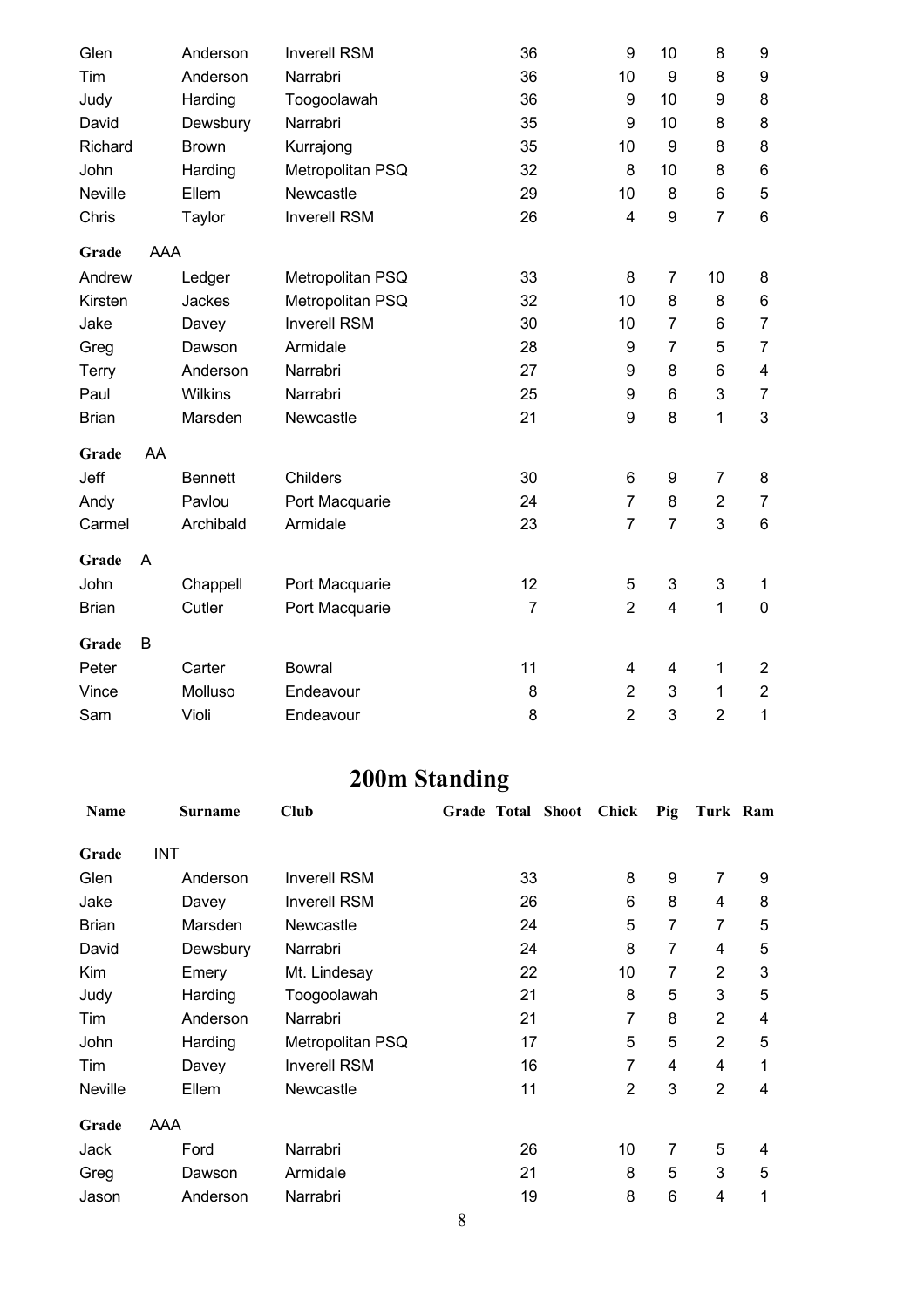|    | Anderson       | <b>Inverell RSM</b> | 36             | 9                | 10                      | 8              | $\boldsymbol{9}$        |
|----|----------------|---------------------|----------------|------------------|-------------------------|----------------|-------------------------|
|    | Anderson       | Narrabri            | 36             | 10               | 9                       | 8              | $\boldsymbol{9}$        |
|    | Harding        | Toogoolawah         | 36             | 9                | 10                      | 9              | 8                       |
|    | Dewsbury       | Narrabri            | 35             | 9                | 10                      | 8              | 8                       |
|    | <b>Brown</b>   | Kurrajong           | 35             | 10               | 9                       | 8              | 8                       |
|    | Harding        | Metropolitan PSQ    | 32             | 8                | 10                      | 8              | $\,6\,$                 |
|    | Ellem          | Newcastle           | 29             | 10               | 8                       | $\,6$          | $\overline{5}$          |
|    | Taylor         | <b>Inverell RSM</b> | 26             | $\overline{4}$   | 9                       | $\overline{7}$ | $6\phantom{1}6$         |
|    |                |                     |                |                  |                         |                |                         |
|    | Ledger         | Metropolitan PSQ    | 33             | 8                | $\overline{7}$          | 10             | $\bf 8$                 |
|    | Jackes         | Metropolitan PSQ    | 32             | 10               | 8                       | 8              | $\,6$                   |
|    | Davey          | <b>Inverell RSM</b> | 30             | 10               | $\overline{7}$          | 6              | $\overline{7}$          |
|    | Dawson         | Armidale            | 28             | 9                | $\overline{7}$          | 5              | $\overline{7}$          |
|    | Anderson       | Narrabri            | 27             | 9                | 8                       | 6              | $\overline{\mathbf{4}}$ |
|    | <b>Wilkins</b> | Narrabri            | 25             | 9                | $\,6$                   | 3              | $\overline{7}$          |
|    | Marsden        | Newcastle           | 21             | $\boldsymbol{9}$ | 8                       | $\mathbf{1}$   | $\sqrt{3}$              |
| AA |                |                     |                |                  |                         |                |                         |
|    | <b>Bennett</b> | <b>Childers</b>     | 30             | 6                | 9                       | $\overline{7}$ | 8                       |
|    | Pavlou         | Port Macquarie      | 24             | $\overline{7}$   | 8                       | $\overline{2}$ | $\boldsymbol{7}$        |
|    | Archibald      | Armidale            | 23             | $\overline{7}$   | $\overline{7}$          | 3              | $\,6\,$                 |
| A  |                |                     |                |                  |                         |                |                         |
|    | Chappell       | Port Macquarie      | 12             | 5                | 3                       | 3              | 1                       |
|    | Cutler         | Port Macquarie      | $\overline{7}$ | $\overline{2}$   | $\overline{\mathbf{4}}$ | $\mathbf{1}$   | $\boldsymbol{0}$        |
| B  |                |                     |                |                  |                         |                |                         |
|    | Carter         | <b>Bowral</b>       | 11             | 4                | $\overline{\mathbf{4}}$ | $\mathbf 1$    | $\overline{2}$          |
|    | Molluso        | Endeavour           | 8              | $\overline{2}$   | 3                       | $\mathbf{1}$   | $\boldsymbol{2}$        |
|    | Violi          | Endeavour           | 8              | $\overline{2}$   | 3                       | $\overline{2}$ | 1                       |
|    |                | <b>AAA</b>          |                |                  |                         |                |                         |

## **200m Standing**

| <b>Name</b>  | <b>Surname</b> | <b>Club</b>         | Grade Total Shoot | Chick          | Pig | Turk Ram       |   |
|--------------|----------------|---------------------|-------------------|----------------|-----|----------------|---|
| Grade        | <b>INT</b>     |                     |                   |                |     |                |   |
| Glen         | Anderson       | <b>Inverell RSM</b> | 33                | 8              | 9   | 7              | 9 |
| Jake         | Davey          | <b>Inverell RSM</b> | 26                | 6              | 8   | 4              | 8 |
| <b>Brian</b> | Marsden        | Newcastle           | 24                | 5              | 7   | 7              | 5 |
| David        | Dewsbury       | Narrabri            | 24                | 8              | 7   | 4              | 5 |
| Kim          | Emery          | Mt. Lindesay        | 22                | 10             | 7   | $\overline{2}$ | 3 |
| Judy         | Harding        | Toogoolawah         | 21                | 8              | 5   | 3              | 5 |
| Tim          | Anderson       | Narrabri            | 21                | 7              | 8   | $\overline{2}$ | 4 |
| John         | Harding        | Metropolitan PSQ    | 17                | 5              | 5   | $\overline{2}$ | 5 |
| Tim          | Davey          | <b>Inverell RSM</b> | 16                | 7              | 4   | 4              | 1 |
| Neville      | Ellem          | Newcastle           | 11                | $\overline{2}$ | 3   | $\overline{2}$ | 4 |
| Grade        | AAA            |                     |                   |                |     |                |   |
| Jack         | Ford           | Narrabri            | 26                | 10             | 7   | 5              | 4 |
| Greg         | Dawson         | Armidale            | 21                | 8              | 5   | 3              | 5 |
| Jason        | Anderson       | Narrabri            | 19                | 8              | 6   | 4              | 1 |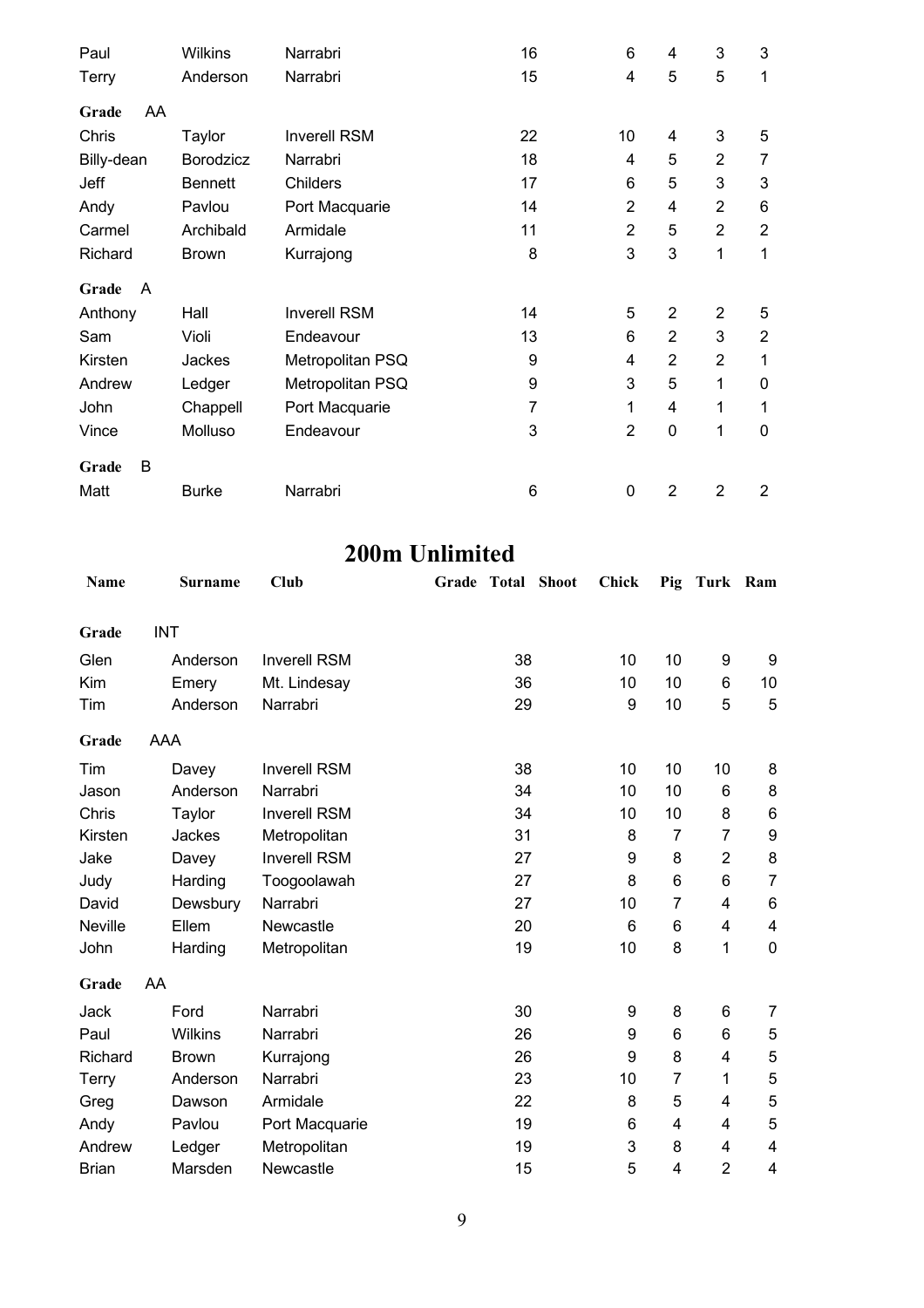| Paul        | <b>Wilkins</b> | Narrabri            | 16 | 6              | 4              | 3              | 3              |
|-------------|----------------|---------------------|----|----------------|----------------|----------------|----------------|
| Terry       | Anderson       | Narrabri            | 15 | 4              | 5              | 5              | 1              |
| AA<br>Grade |                |                     |    |                |                |                |                |
| Chris       | Taylor         | <b>Inverell RSM</b> | 22 | 10             | 4              | 3              | 5              |
| Billy-dean  | Borodzicz      | Narrabri            | 18 | 4              | 5              | $\overline{2}$ | 7              |
| Jeff        | <b>Bennett</b> | Childers            | 17 | 6              | 5              | 3              | $\mathbf{3}$   |
| Andy        | Pavlou         | Port Macquarie      | 14 | $\overline{2}$ | 4              | $\overline{2}$ | 6              |
| Carmel      | Archibald      | Armidale            | 11 | $\overline{2}$ | 5              | $\overline{2}$ | $\overline{2}$ |
| Richard     | <b>Brown</b>   | Kurrajong           | 8  | 3              | 3              | 1              | 1              |
| Grade<br>A  |                |                     |    |                |                |                |                |
| Anthony     | Hall           | <b>Inverell RSM</b> | 14 | 5              | $\overline{2}$ | $\overline{2}$ | 5              |
| Sam         | Violi          | Endeavour           | 13 | 6              | $\overline{2}$ | 3              | $\overline{2}$ |
| Kirsten     | Jackes         | Metropolitan PSQ    | 9  | 4              | $\overline{2}$ | $\overline{2}$ | 1              |
| Andrew      | Ledger         | Metropolitan PSQ    | 9  | 3              | 5              | 1              | $\mathbf 0$    |
| John        | Chappell       | Port Macquarie      | 7  | 1              | 4              | 1              | 1              |
| Vince       | Molluso        | Endeavour           | 3  | $\overline{2}$ | $\mathbf 0$    | 1              | $\mathbf 0$    |
| B<br>Grade  |                |                     |    |                |                |                |                |
| Matt        | <b>Burke</b>   | Narrabri            | 6  | 0              | 2              | 2              | 2              |

## **200m Unlimited**

| Name         | <b>Surname</b> | Club                | <b>Grade Total Shoot</b> | <b>Chick</b> | Pig            | Turk Ram       |                |
|--------------|----------------|---------------------|--------------------------|--------------|----------------|----------------|----------------|
| Grade        | <b>INT</b>     |                     |                          |              |                |                |                |
| Glen         | Anderson       | <b>Inverell RSM</b> | 38                       | 10           | 10             | 9              | 9              |
| Kim          | Emery          | Mt. Lindesay        | 36                       | 10           | 10             | 6              | 10             |
| Tim          | Anderson       | Narrabri            | 29                       | 9            | 10             | 5              | 5              |
| Grade        | AAA            |                     |                          |              |                |                |                |
| Tim          | Davey          | <b>Inverell RSM</b> | 38                       | 10           | 10             | 10             | 8              |
| Jason        | Anderson       | Narrabri            | 34                       | 10           | 10             | 6              | 8              |
| Chris        | Taylor         | <b>Inverell RSM</b> | 34                       | 10           | 10             | 8              | $\,6\,$        |
| Kirsten      | Jackes         | Metropolitan        | 31                       | 8            | 7              | 7              | 9              |
| Jake         | Davey          | <b>Inverell RSM</b> | 27                       | 9            | 8              | $\overline{2}$ | 8              |
| Judy         | Harding        | Toogoolawah         | 27                       | 8            | 6              | 6              | $\overline{7}$ |
| David        | Dewsbury       | Narrabri            | 27                       | 10           | $\overline{7}$ | 4              | 6              |
| Neville      | Ellem          | Newcastle           | 20                       | 6            | 6              | 4              | 4              |
| John         | Harding        | Metropolitan        | 19                       | 10           | 8              | 1              | $\mathbf 0$    |
| Grade        | AA             |                     |                          |              |                |                |                |
| Jack         | Ford           | Narrabri            | 30                       | 9            | 8              | 6              | 7              |
| Paul         | Wilkins        | Narrabri            | 26                       | 9            | 6              | 6              | 5              |
| Richard      | <b>Brown</b>   | Kurrajong           | 26                       | 9            | 8              | 4              | $\mathbf 5$    |
| Terry        | Anderson       | Narrabri            | 23                       | 10           | $\overline{7}$ | 1              | 5              |
| Greg         | Dawson         | Armidale            | 22                       | 8            | 5              | 4              | 5              |
| Andy         | Pavlou         | Port Macquarie      | 19                       | 6            | 4              | 4              | 5              |
| Andrew       | Ledger         | Metropolitan        | 19                       | 3            | 8              | 4              | 4              |
| <b>Brian</b> | Marsden        | Newcastle           | 15                       | 5            | 4              | $\overline{2}$ | 4              |